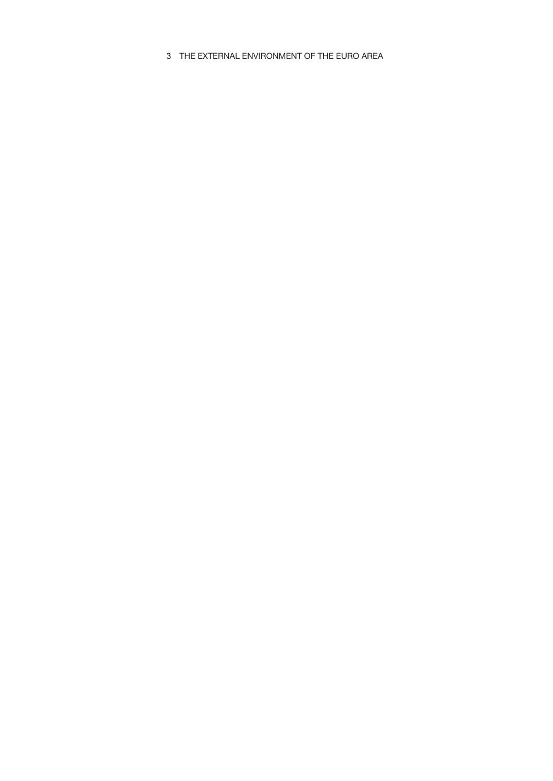3 THE EXTERNAL ENVIRONMENT OF THE EURO AREA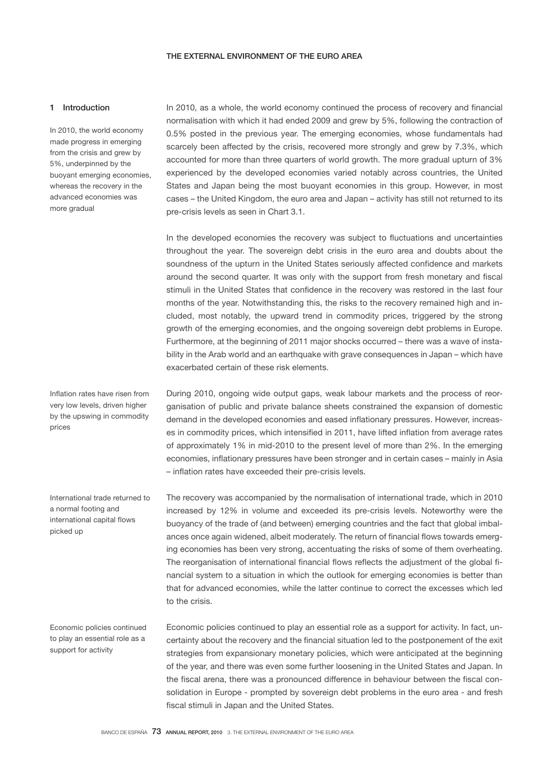## 1 Introduction

In 2010, the world economy made progress in emerging from the crisis and grew by 5%, underpinned by the buoyant emerging economies, whereas the recovery in the advanced economies was more gradual

Inflation rates have risen from very low levels, driven higher by the upswing in commodity prices

International trade returned to a normal footing and international capital flows picked up

Economic policies continued to play an essential role as a support for activity

In 2010, as a whole, the world economy continued the process of recovery and financial normalisation with which it had ended 2009 and grew by 5%, following the contraction of 0.5% posted in the previous year. The emerging economies, whose fundamentals had scarcely been affected by the crisis, recovered more strongly and grew by 7.3%, which accounted for more than three quarters of world growth. The more gradual upturn of 3% experienced by the developed economies varied notably across countries, the United States and Japan being the most buoyant economies in this group. However, in most cases – the United Kingdom, the euro area and Japan – activity has still not returned to its pre-crisis levels as seen in Chart 3.1.

In the developed economies the recovery was subject to fluctuations and uncertainties throughout the year. The sovereign debt crisis in the euro area and doubts about the soundness of the upturn in the United States seriously affected confidence and markets around the second quarter. It was only with the support from fresh monetary and fiscal stimuli in the United States that confidence in the recovery was restored in the last four months of the year. Notwithstanding this, the risks to the recovery remained high and included, most notably, the upward trend in commodity prices, triggered by the strong growth of the emerging economies, and the ongoing sovereign debt problems in Europe. Furthermore, at the beginning of 2011 major shocks occurred – there was a wave of instability in the Arab world and an earthquake with grave consequences in Japan – which have exacerbated certain of these risk elements.

During 2010, ongoing wide output gaps, weak labour markets and the process of reorganisation of public and private balance sheets constrained the expansion of domestic demand in the developed economies and eased inflationary pressures. However, increases in commodity prices, which intensified in 2011, have lifted inflation from average rates of approximately 1% in mid-2010 to the present level of more than 2%. In the emerging economies, inflationary pressures have been stronger and in certain cases – mainly in Asia – inflation rates have exceeded their pre-crisis levels.

The recovery was accompanied by the normalisation of international trade, which in 2010 increased by 12% in volume and exceeded its pre-crisis levels. Noteworthy were the buoyancy of the trade of (and between) emerging countries and the fact that global imbalances once again widened, albeit moderately. The return of financial flows towards emerging economies has been very strong, accentuating the risks of some of them overheating. The reorganisation of international financial flows reflects the adjustment of the global financial system to a situation in which the outlook for emerging economies is better than that for advanced economies, while the latter continue to correct the excesses which led to the crisis.

Economic policies continued to play an essential role as a support for activity. In fact, uncertainty about the recovery and the financial situation led to the postponement of the exit strategies from expansionary monetary policies, which were anticipated at the beginning of the year, and there was even some further loosening in the United States and Japan. In the fiscal arena, there was a pronounced difference in behaviour between the fiscal consolidation in Europe - prompted by sovereign debt problems in the euro area - and fresh fiscal stimuli in Japan and the United States.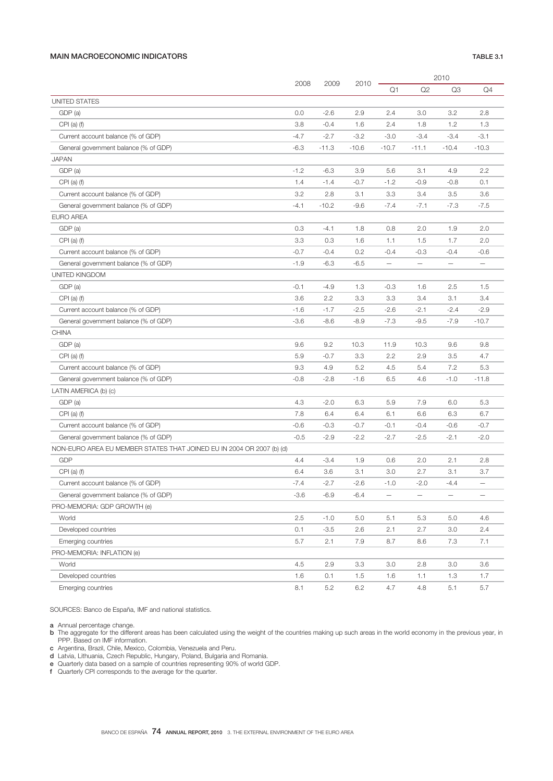## MAIN MACROECONOMIC INDICATORS TABLE 3.1

|                                                                       |        | 2009    | 2010    | 2010                     |                          |                   |                          |
|-----------------------------------------------------------------------|--------|---------|---------|--------------------------|--------------------------|-------------------|--------------------------|
|                                                                       | 2008   |         |         | Q1                       | Q2                       | Q3                | Q4                       |
| UNITED STATES                                                         |        |         |         |                          |                          |                   |                          |
| GDP (a)                                                               | 0.0    | $-2.6$  | 2.9     | 2.4                      | 3.0                      | 3.2               | 2.8                      |
| $CPI$ (a) (f)                                                         | 3.8    | $-0.4$  | 1.6     | 2.4                      | 1.8                      | 1.2               | 1.3                      |
| Current account balance (% of GDP)                                    | $-4.7$ | $-2.7$  | $-3.2$  | $-3.0$                   | $-3.4$                   | $-3.4$            | $-3.1$                   |
| General government balance (% of GDP)                                 | $-6.3$ | $-11.3$ | $-10.6$ | $-10.7$                  | $-11.1$                  | $-10.4$           | $-10.3$                  |
| <b>JAPAN</b>                                                          |        |         |         |                          |                          |                   |                          |
| GDP (a)                                                               | $-1.2$ | $-6.3$  | 3.9     | 5.6                      | 3.1                      | 4.9               | 2.2                      |
| CPI $(a)$ $(f)$                                                       | 1.4    | $-1.4$  | $-0.7$  | $-1.2$                   | $-0.9$                   | $-0.8$            | 0.1                      |
| Current account balance (% of GDP)                                    | 3.2    | 2.8     | 3.1     | 3.3                      | 3.4                      | 3.5               | 3.6                      |
| General government balance (% of GDP)                                 | $-4.1$ | $-10.2$ | $-9.6$  | $-7.4$                   | $-7.1$                   | $-7.3$            | $-7.5$                   |
| <b>EURO AREA</b>                                                      |        |         |         |                          |                          |                   |                          |
| GDP (a)                                                               | 0.3    | $-4.1$  | 1.8     | 0.8                      | 2.0                      | 1.9               | 2.0                      |
| CPI $(a)$ $(f)$                                                       | 3.3    | 0.3     | 1.6     | 1.1                      | 1.5                      | 1.7               | 2.0                      |
| Current account balance (% of GDP)                                    | $-0.7$ | $-0.4$  | 0.2     | $-0.4$                   | $-0.3$                   | $-0.4$            | $-0.6$                   |
| General government balance (% of GDP)                                 | $-1.9$ | $-6.3$  | $-6.5$  | $\overline{\phantom{0}}$ | $\overline{\phantom{0}}$ | $\qquad \qquad -$ | $\overline{\phantom{0}}$ |
| UNITED KINGDOM                                                        |        |         |         |                          |                          |                   |                          |
| GDP (a)                                                               | $-0.1$ | $-4.9$  | 1.3     | $-0.3$                   | 1.6                      | 2.5               | 1.5                      |
| CPI $(a)$ $(f)$                                                       | 3.6    | 2.2     | 3.3     | 3.3                      | 3.4                      | 3.1               | 3.4                      |
| Current account balance (% of GDP)                                    | $-1.6$ | $-1.7$  | $-2.5$  | $-2.6$                   | $-2.1$                   | $-2.4$            | $-2.9$                   |
| General government balance (% of GDP)                                 | $-3.6$ | $-8.6$  | $-8.9$  | $-7.3$                   | $-9.5$                   | $-7.9$            | $-10.7$                  |
| CHINA                                                                 |        |         |         |                          |                          |                   |                          |
| GDP (a)                                                               | 9.6    | 9.2     | 10.3    | 11.9                     | 10.3                     | 9.6               | 9.8                      |
| CPI $(a)$ $(f)$                                                       | 5.9    | $-0.7$  | 3.3     | 2.2                      | 2.9                      | 3.5               | 4.7                      |
| Current account balance (% of GDP)                                    | 9.3    | 4.9     | 5.2     | 4.5                      | 5.4                      | 7.2               | 5.3                      |
| General government balance (% of GDP)                                 | $-0.8$ | $-2.8$  | $-1.6$  | 6.5                      | 4.6                      | $-1.0$            | $-11.8$                  |
| LATIN AMERICA (b) (c)                                                 |        |         |         |                          |                          |                   |                          |
| GDP (a)                                                               | 4.3    | $-2.0$  | 6.3     | 5.9                      | 7.9                      | 6.0               | 5.3                      |
| CPI $(a)$ $(f)$                                                       | 7.8    | 6.4     | 6.4     | 6.1                      | 6.6                      | 6.3               | 6.7                      |
| Current account balance (% of GDP)                                    | $-0.6$ | $-0.3$  | $-0.7$  | $-0.1$                   | $-0.4$                   | $-0.6$            | $-0.7$                   |
| General government balance (% of GDP)                                 | $-0.5$ | $-2.9$  | $-2.2$  | -2.7                     | $-2.5$                   | $-2.1$            | $-2.0$                   |
| NON-EURO AREA EU MEMBER STATES THAT JOINED EU IN 2004 OR 2007 (b) (d) |        |         |         |                          |                          |                   |                          |
| <b>GDP</b>                                                            | 4.4    | $-3.4$  | 1.9     | 0.6                      | 2.0                      | 2.1               | 2.8                      |
| CPI $(a)$ $(f)$                                                       | 6.4    | 3.6     | 3.1     | 3.0                      | 2.7                      | 3.1               | 3.7                      |
| Current account balance (% of GDP)                                    | $-7.4$ | $-2.7$  | $-2.6$  | $-1.0$                   | $-2.0$                   | $-4.4$            | $\overline{\phantom{0}}$ |
| General government balance (% of GDP)                                 | $-3.6$ | $-6.9$  | $-6.4$  |                          |                          |                   |                          |
| PRO-MEMORIA: GDP GROWTH (e)                                           |        |         |         |                          |                          |                   |                          |
| World                                                                 | 2.5    | $-1.0$  | 5.0     | 5.1                      | 5.3                      | 5.0               | 4.6                      |
| Developed countries                                                   | 0.1    | -3.5    | 2.6     | 2.1                      | 2.7                      | 3.0               | 2.4                      |
| Emerging countries                                                    | 5.7    | 2.1     | 7.9     | 8.7                      | 8.6                      | 7.3               | 7.1                      |
| PRO-MEMORIA: INFLATION (e)                                            |        |         |         |                          |                          |                   |                          |
| World                                                                 | 4.5    | 2.9     | 3.3     | 3.0                      | 2.8                      | 3.0               | 3.6                      |
| Developed countries                                                   | 1.6    | 0.1     | 1.5     | 1.6                      | 1.1                      | 1.3               | 1.7                      |
| Emerging countries                                                    | 8.1    | 5.2     | 6.2     | 4.7                      | 4.8                      | 5.1               | $5.7\,$                  |

SOURCES: Banco de España, IMF and national statistics.

a Annual percentage change.

- **b** The aggregate for the different areas has been calculated using the weight of the countries making up such areas in the world economy in the previous year, in PPP. Based on IMF information.
- c Argentina, Brazil, Chile, Mexico, Colombia, Venezuela and Peru.
- d Latvia, Lithuania, Czech Republic, Hungary, Poland, Bulgaria and Romania.
- e Quarterly data based on a sample of countries representing 90% of world GDP.
- f Quarterly CPI corresponds to the average for the quarter.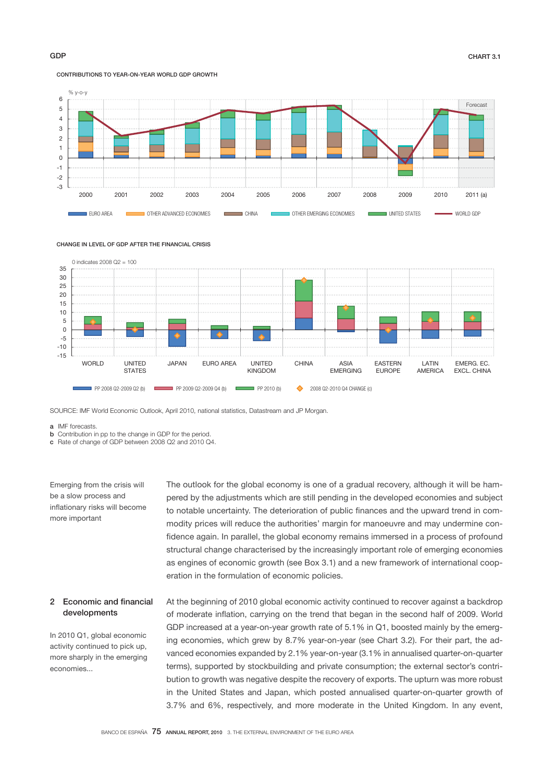# CONTRIBUTIONS TO YEAR-ON-YEAR WORLD GDP GROWTH







SOURCE: IMF World Economic Outlook, April 2010, national statistics, Datastream and JP Morgan.

a IMF forecasts.

**b** Contribution in pp to the change in GDP for the period.

c Rate of change of GDP between 2008 Q2 and 2010 Q4.

Emerging from the crisis will be a slow process and inflationary risks will become more important

The outlook for the global economy is one of a gradual recovery, although it will be hampered by the adjustments which are still pending in the developed economies and subject to notable uncertainty. The deterioration of public finances and the upward trend in commodity prices will reduce the authorities' margin for manoeuvre and may undermine confidence again. In parallel, the global economy remains immersed in a process of profound structural change characterised by the increasingly important role of emerging economies as engines of economic growth (see Box 3.1) and a new framework of international cooperation in the formulation of economic policies.

## 2 Economic and financial developments

In 2010 Q1, global economic activity continued to pick up, more sharply in the emerging economies...

At the beginning of 2010 global economic activity continued to recover against a backdrop of moderate inflation, carrying on the trend that began in the second half of 2009. World GDP increased at a year-on-year growth rate of 5.1% in Q1, boosted mainly by the emerging economies, which grew by 8.7% year-on-year (see Chart 3.2). For their part, the advanced economies expanded by 2.1% year-on-year (3.1% in annualised quarter-on-quarter terms), supported by stockbuilding and private consumption; the external sector's contribution to growth was negative despite the recovery of exports. The upturn was more robust in the United States and Japan, which posted annualised quarter-on-quarter growth of 3.7% and 6%, respectively, and more moderate in the United Kingdom. In any event,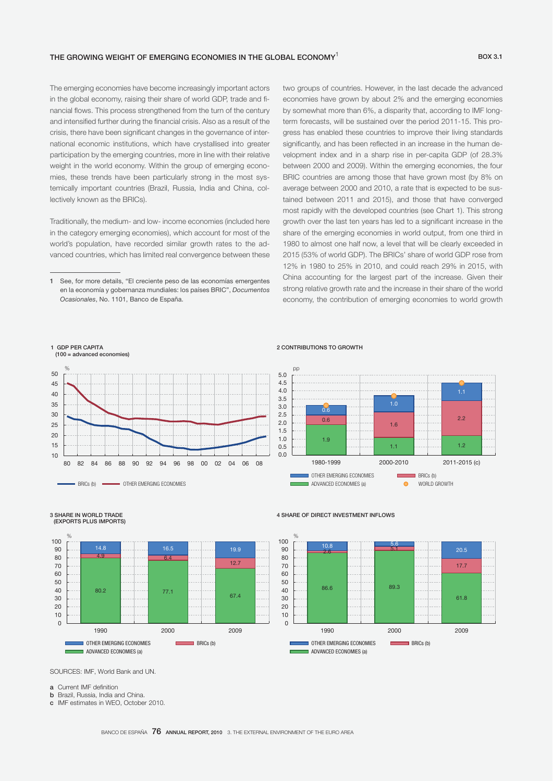### THE GROWING WEIGHT OF EMERGING ECONOMIES IN THE GLOBAL ECONOMY<sup>1</sup>  $BOX 3.1$

The emerging economies have become increasingly important actors in the global economy, raising their share of world GDP, trade and financial flows. This process strengthened from the turn of the century and intensified further during the financial crisis. Also as a result of the crisis, there have been significant changes in the governance of international economic institutions, which have crystallised into greater participation by the emerging countries, more in line with their relative weight in the world economy. Within the group of emerging economies, these trends have been particularly strong in the most systemically important countries (Brazil, Russia, India and China, collectively known as the BRICs).

Traditionally, the medium- and low- income economies (included here in the category emerging economies), which account for most of the world's population, have recorded similar growth rates to the advanced countries, which has limited real convergence between these two groups of countries. However, in the last decade the advanced economies have grown by about 2% and the emerging economies by somewhat more than 6%, a disparity that, according to IMF longterm forecasts, will be sustained over the period 2011-15. This progress has enabled these countries to improve their living standards significantly, and has been reflected in an increase in the human development index and in a sharp rise in per-capita GDP (of 28.3% between 2000 and 2009). Within the emerging economies, the four BRIC countries are among those that have grown most (by 8% on average between 2000 and 2010, a rate that is expected to be sustained between 2011 and 2015), and those that have converged most rapidly with the developed countries (see Chart 1). This strong growth over the last ten years has led to a significant increase in the share of the emerging economies in world output, from one third in 1980 to almost one half now, a level that will be clearly exceeded in 2015 (53% of world GDP). The BRICs' share of world GDP rose from 12% in 1980 to 25% in 2010, and could reach 29% in 2015, with China accounting for the largest part of the increase. Given their strong relative growth rate and the increase in their share of the world economy, the contribution of emerging economies to world growth

### 2 CONTRIBUTIONS TO GROWTH



<sup>80.2 77.1 67.4</sup>  4.9 **6.4** 12.7 14.8 16.5 19.9  $\Omega$  $10$ 20 30 40  $50$ 60 70 80 90 100 1990 2000 2009 **OTHER EMERGING ECONOMIES** BRICs (b) ADVANCED ECONOMIES (a) %

### 4 SHARE OF DIRECT INVESTMENT INFLOWS



SOURCES: IMF, World Bank and UN.

a Current IMF definition

3 SHARE IN WORLD TRADE (EXPORTS PLUS IMPORTS)

1 GDP PER CAPITA (100 = advanced economies)

%

BRICs (b) **CHER EMERGING ECONOMIES** 

- b Brazil, Russia, India and China.
- c IMF estimates in WEO, October 2010.

<sup>1</sup> See, for more details, "El creciente peso de las economías emergentes en la economía y gobernanza mundiales: los países BRIC", *Documentos Ocasionales*, No. 1101, Banco de España.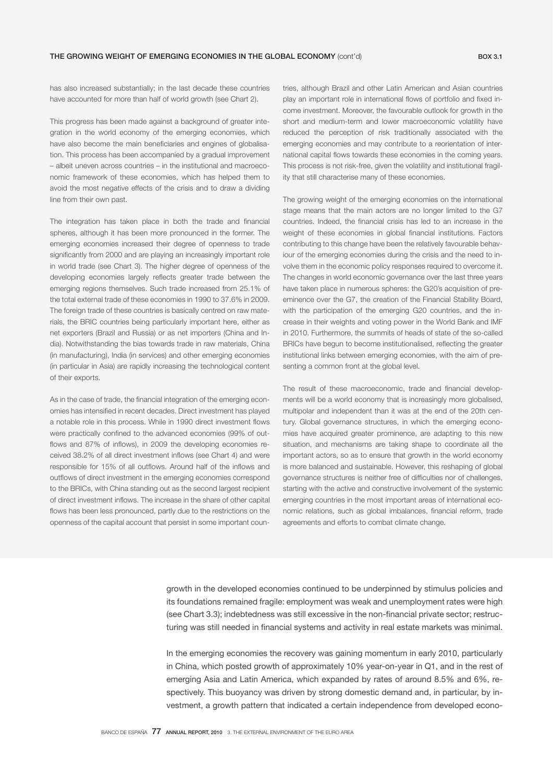has also increased substantially; in the last decade these countries have accounted for more than half of world growth (see Chart 2).

This progress has been made against a background of greater integration in the world economy of the emerging economies, which have also become the main beneficiaries and engines of globalisation. This process has been accompanied by a gradual improvement – albeit uneven across countries – in the institutional and macroeconomic framework of these economies, which has helped them to avoid the most negative effects of the crisis and to draw a dividing line from their own past.

The integration has taken place in both the trade and financial spheres, although it has been more pronounced in the former. The emerging economies increased their degree of openness to trade significantly from 2000 and are playing an increasingly important role in world trade (see Chart 3). The higher degree of openness of the developing economies largely reflects greater trade between the emerging regions themselves. Such trade increased from 25.1% of the total external trade of these economies in 1990 to 37.6% in 2009. The foreign trade of these countries is basically centred on raw materials, the BRIC countries being particularly important here, either as net exporters (Brazil and Russia) or as net importers (China and India). Notwithstanding the bias towards trade in raw materials, China (in manufacturing), India (in services) and other emerging economies (in particular in Asia) are rapidly increasing the technological content of their exports.

As in the case of trade, the financial integration of the emerging economies has intensified in recent decades. Direct investment has played a notable role in this process. While in 1990 direct investment flows were practically confined to the advanced economies (99% of outflows and 87% of inflows), in 2009 the developing economies received 38.2% of all direct investment inflows (see Chart 4) and were responsible for 15% of all outflows. Around half of the inflows and outflows of direct investment in the emerging economies correspond to the BRICs, with China standing out as the second largest recipient of direct investment inflows. The increase in the share of other capital flows has been less pronounced, partly due to the restrictions on the openness of the capital account that persist in some important countries, although Brazil and other Latin American and Asian countries play an important role in international flows of portfolio and fixed income investment. Moreover, the favourable outlook for growth in the short and medium-term and lower macroeconomic volatility have reduced the perception of risk traditionally associated with the emerging economies and may contribute to a reorientation of international capital flows towards these economies in the coming years. This process is not risk-free, given the volatility and institutional fragility that still characterise many of these economies.

The growing weight of the emerging economies on the international stage means that the main actors are no longer limited to the G7 countries. Indeed, the financial crisis has led to an increase in the weight of these economies in global financial institutions. Factors contributing to this change have been the relatively favourable behaviour of the emerging economies during the crisis and the need to involve them in the economic policy responses required to overcome it. The changes in world economic governance over the last three years have taken place in numerous spheres: the G20's acquisition of preeminence over the G7, the creation of the Financial Stability Board, with the participation of the emerging G20 countries, and the increase in their weights and voting power in the World Bank and IMF in 2010. Furthermore, the summits of heads of state of the so-called BRICs have begun to become institutionalised, reflecting the greater institutional links between emerging economies, with the aim of presenting a common front at the global level.

The result of these macroeconomic, trade and financial developments will be a world economy that is increasingly more globalised, multipolar and independent than it was at the end of the 20th century. Global governance structures, in which the emerging economies have acquired greater prominence, are adapting to this new situation, and mechanisms are taking shape to coordinate all the important actors, so as to ensure that growth in the world economy is more balanced and sustainable. However, this reshaping of global governance structures is neither free of difficulties nor of challenges, starting with the active and constructive involvement of the systemic emerging countries in the most important areas of international economic relations, such as global imbalances, financial reform, trade agreements and efforts to combat climate change.

growth in the developed economies continued to be underpinned by stimulus policies and its foundations remained fragile: employment was weak and unemployment rates were high (see Chart 3.3); indebtedness was still excessive in the non-financial private sector; restructuring was still needed in financial systems and activity in real estate markets was minimal.

In the emerging economies the recovery was gaining momentum in early 2010, particularly in China, which posted growth of approximately 10% year-on-year in Q1, and in the rest of emerging Asia and Latin America, which expanded by rates of around 8.5% and 6%, respectively. This buoyancy was driven by strong domestic demand and, in particular, by investment, a growth pattern that indicated a certain independence from developed econo-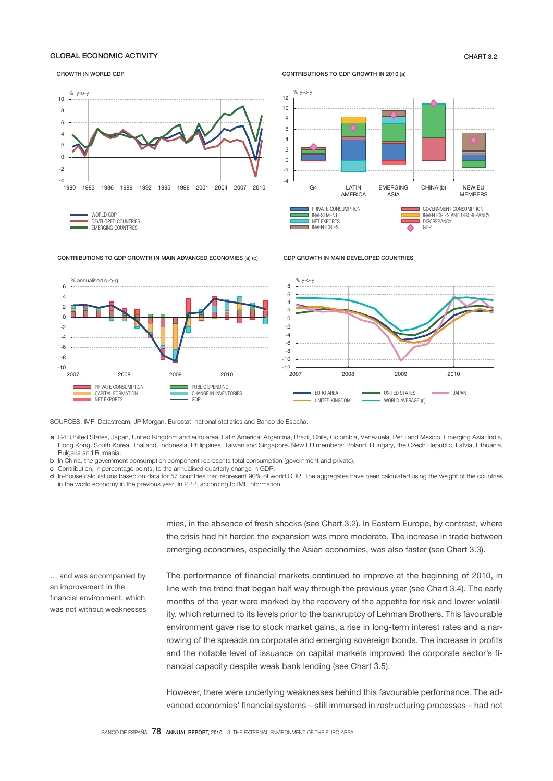## GLOBAL ECONOMIC ACTIVITY CHART 3.2

### GROWTH IN WORLD GDP

### CONTRIBUTIONS TO GDP GROWTH IN 2010 (a)

GDP GROWTH IN MAIN DEVELOPED COUNTRIES



### CONTRIBUTIONS TO GDP GROWTH IN MAIN ADVANCED ECONOMIES (a) (c)



SOURCES: IMF, Datastream, JP Morgan, Eurostat, national statistics and Banco de España.

- a G4: United States, Japan, United Kingdom and euro area. Latin America: Argentina, Brazil, Chile, Colombia, Venezuela, Peru and Mexico. Emerging Asia: India, Hong Kong, South Korea, Thailand, Indonesia, Philippines, Taiwan and Singapore. New EU members: Poland, Hungary, the Czech Republic, Latvia, Lithuania, Bulgaria and Rumania.
- b In China, the government consumption component represents total consumption (government and private).
- c Contribution, in percentage points, to the annualised quarterly change in GDP.
- d In-house calculations based on data for 57 countries that represent 90% of world GDP. The aggregates have been calculated using the weight of the countries in the world economy in the previous year, in PPP, according to IMF information.

mies, in the absence of fresh shocks (see Chart 3.2). In Eastern Europe, by contrast, where the crisis had hit harder, the expansion was more moderate. The increase in trade between emerging economies, especially the Asian economies, was also faster (see Chart 3.3).

and was accompanied by an improvement in the financial environment, which was not without weaknesses The performance of financial markets continued to improve at the beginning of 2010, in line with the trend that began half way through the previous year (see Chart 3.4). The early months of the year were marked by the recovery of the appetite for risk and lower volatility, which returned to its levels prior to the bankruptcy of Lehman Brothers. This favourable environment gave rise to stock market gains, a rise in long-term interest rates and a narrowing of the spreads on corporate and emerging sovereign bonds. The increase in profits and the notable level of issuance on capital markets improved the corporate sector's financial capacity despite weak bank lending (see Chart 3.5). .

However, there were underlying weaknesses behind this favourable performance. The advanced economies' financial systems – still immersed in restructuring processes – had not

 $\overline{\phantom{a}}$ 

CHINA (b) NEW EU

**MEMBERS**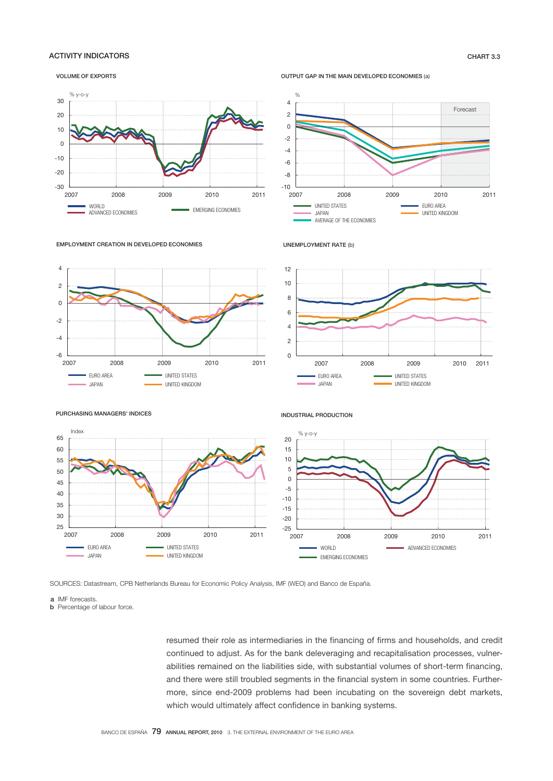## ACTIVITY INDICATORS CHART 3.3

### VOLUME OF EXPORTS



OUTPUT GAP IN THE MAIN DEVELOPED ECONOMIES (a)









PURCHASING MANAGERS' INDICES

 $-6$   $-2007$ 

-4 -2  $\Omega$ 2 4



EURO AREA **WELLET AREA** UNITED STATES JAPAN UNITED KINGDOM

2007 2008 2009 2010 2011





SOURCES: Datastream, CPB Netherlands Bureau for Economic Policy Analysis, IMF (WEO) and Banco de España.

a IMF forecasts.

**b** Percentage of labour force

resumed their role as intermediaries in the financing of firms and households, and credit continued to adjust. As for the bank deleveraging and recapitalisation processes, vulnerabilities remained on the liabilities side, with substantial volumes of short-term financing, and there were still troubled segments in the financial system in some countries. Furthermore, since end-2009 problems had been incubating on the sovereign debt markets, which would ultimately affect confidence in banking systems.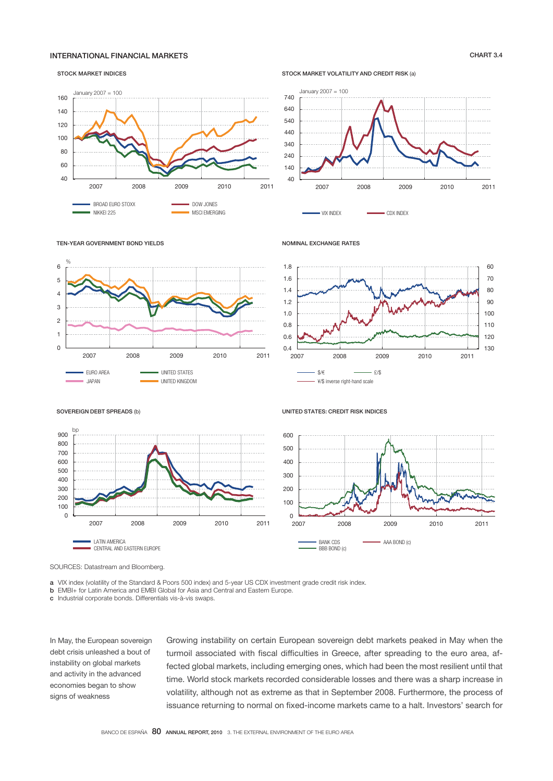## INTERNATIONAL FINANCIAL MARKETS CHART 3.4

### STOCK MARKET INDICES



STOCK MARKET VOLATILITY AND CREDIT RISK (a)



VIX INDEX **CDX INDEX** 

UNITED STATES: CREDIT RISK INDICES

NOMINAL EXCHANGE RATES



### SOVEREIGN DEBT SPREADS (b)

TEN-YEAR GOVERNMENT BOND YIELDS



SOURCES: Datastream and Bloomberg.

a VIX index (volatility of the Standard & Poors 500 index) and 5-year US CDX investment grade credit risk index.

b EMBI+ for Latin America and EMBI Global for Asia and Central and Eastern Europe.

c Industrial corporate bonds. Differentials vis-à-vis swaps.

In May, the European sovereign debt crisis unleashed a bout of instability on global markets and activity in the advanced economies began to show signs of weakness

Growing instability on certain European sovereign debt markets peaked in May when the turmoil associated with fiscal difficulties in Greece, after spreading to the euro area, affected global markets, including emerging ones, which had been the most resilient until that time. World stock markets recorded considerable losses and there was a sharp increase in volatility, although not as extreme as that in September 2008. Furthermore, the process of issuance returning to normal on fixed-income markets came to a halt. Investors' search for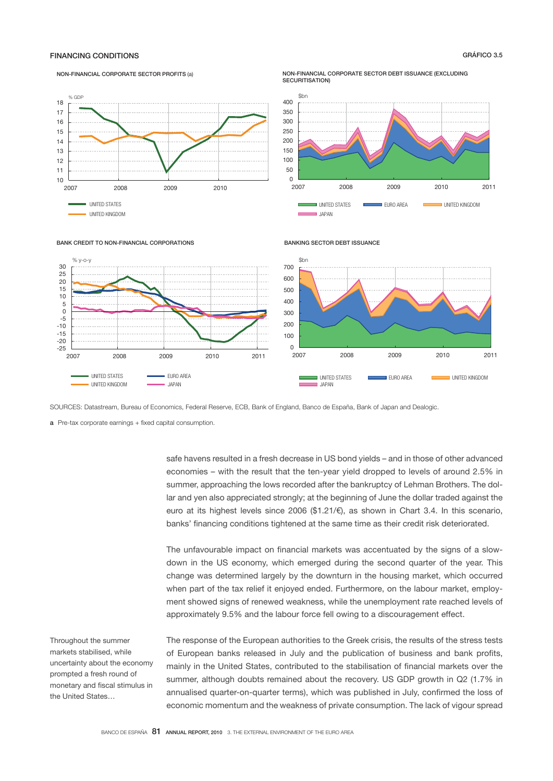## FINANCING CONDITIONS GRÁFICO 3.5

### NON-FINANCIAL CORPORATE SECTOR PROFITS (a)

### NON-FINANCIAL CORPORATE SECTOR DEBT ISSUANCE (EXCLUDING SECURITISATION)





### BANK CREDIT TO NON-FINANCIAL CORPORATIONS

### BANKING SECTOR DEBT ISSUANCE



SOURCES: Datastream, Bureau of Economics, Federal Reserve, ECB, Bank of England, Banco de España, Bank of Japan and Dealogic.

 ${\bf a}$  Pre-tax corporate earnings + fixed capital consumption.

-25 -20 -15 -10 -5  $\Omega$ 5 10 15 20 25 30

> safe havens resulted in a fresh decrease in US bond yields – and in those of other advanced economies – with the result that the ten-year yield dropped to levels of around 2.5% in summer, approaching the lows recorded after the bankruptcy of Lehman Brothers. The dollar and yen also appreciated strongly; at the beginning of June the dollar traded against the euro at its highest levels since 2006 (\$1.21/€), as shown in Chart 3.4. In this scenario, banks' financing conditions tightened at the same time as their credit risk deteriorated.

> The unfavourable impact on financial markets was accentuated by the signs of a slowdown in the US economy, which emerged during the second quarter of the year. This change was determined largely by the downturn in the housing market, which occurred when part of the tax relief it enjoyed ended. Furthermore, on the labour market, employment showed signs of renewed weakness, while the unemployment rate reached levels of approximately 9.5% and the labour force fell owing to a discouragement effect.

Throughout the summer markets stabilised, while uncertainty about the economy prompted a fresh round of monetary and fiscal stimulus in the United States…

The response of the European authorities to the Greek crisis, the results of the stress tests of European banks released in July and the publication of business and bank profits, mainly in the United States, contributed to the stabilisation of financial markets over the summer, although doubts remained about the recovery. US GDP growth in Q2 (1.7% in annualised quarter-on-quarter terms), which was published in July, confirmed the loss of economic momentum and the weakness of private consumption. The lack of vigour spread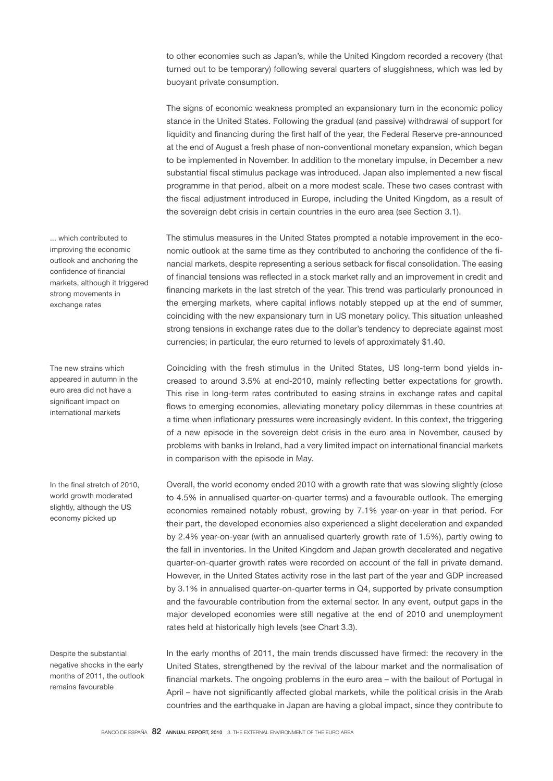to other economies such as Japan's, while the United Kingdom recorded a recovery (that turned out to be temporary) following several quarters of sluggishness, which was led by buoyant private consumption.

The signs of economic weakness prompted an expansionary turn in the economic policy stance in the United States. Following the gradual (and passive) withdrawal of support for liquidity and financing during the first half of the year, the Federal Reserve pre-announced at the end of August a fresh phase of non-conventional monetary expansion, which began to be implemented in November. In addition to the monetary impulse, in December a new substantial fiscal stimulus package was introduced. Japan also implemented a new fiscal programme in that period, albeit on a more modest scale. These two cases contrast with the fiscal adjustment introduced in Europe, including the United Kingdom, as a result of the sovereign debt crisis in certain countries in the euro area (see Section 3.1).

The stimulus measures in the United States prompted a notable improvement in the economic outlook at the same time as they contributed to anchoring the confidence of the financial markets, despite representing a serious setback for fiscal consolidation. The easing of financial tensions was reflected in a stock market rally and an improvement in credit and financing markets in the last stretch of the year. This trend was particularly pronounced in the emerging markets, where capital inflows notably stepped up at the end of summer, coinciding with the new expansionary turn in US monetary policy. This situation unleashed strong tensions in exchange rates due to the dollar's tendency to depreciate against most currencies; in particular, the euro returned to levels of approximately \$1.40.

Coinciding with the fresh stimulus in the United States, US long-term bond yields increased to around 3.5% at end-2010, mainly reflecting better expectations for growth. This rise in long-term rates contributed to easing strains in exchange rates and capital flows to emerging economies, alleviating monetary policy dilemmas in these countries at a time when inflationary pressures were increasingly evident. In this context, the triggering of a new episode in the sovereign debt crisis in the euro area in November, caused by problems with banks in Ireland, had a very limited impact on international financial markets in comparison with the episode in May.

Overall, the world economy ended 2010 with a growth rate that was slowing slightly (close to 4.5% in annualised quarter-on-quarter terms) and a favourable outlook. The emerging economies remained notably robust, growing by 7.1% year-on-year in that period. For their part, the developed economies also experienced a slight deceleration and expanded by 2.4% year-on-year (with an annualised quarterly growth rate of 1.5%), partly owing to the fall in inventories. In the United Kingdom and Japan growth decelerated and negative quarter-on-quarter growth rates were recorded on account of the fall in private demand. However, in the United States activity rose in the last part of the year and GDP increased by 3.1% in annualised quarter-on-quarter terms in Q4, supported by private consumption and the favourable contribution from the external sector. In any event, output gaps in the major developed economies were still negative at the end of 2010 and unemployment rates held at historically high levels (see Chart 3.3).

In the early months of 2011, the main trends discussed have firmed: the recovery in the United States, strengthened by the revival of the labour market and the normalisation of financial markets. The ongoing problems in the euro area – with the bailout of Portugal in April – have not significantly affected global markets, while the political crisis in the Arab countries and the earthquake in Japan are having a global impact, since they contribute to

... which contributed to improving the economic outlook and anchoring the confidence of financial markets, although it triggered strong movements in exchange rates

The new strains which appeared in autumn in the euro area did not have a significant impact on international markets

In the final stretch of 2010, world growth moderated slightly, although the US economy picked up

Despite the substantial negative shocks in the early months of 2011, the outlook remains favourable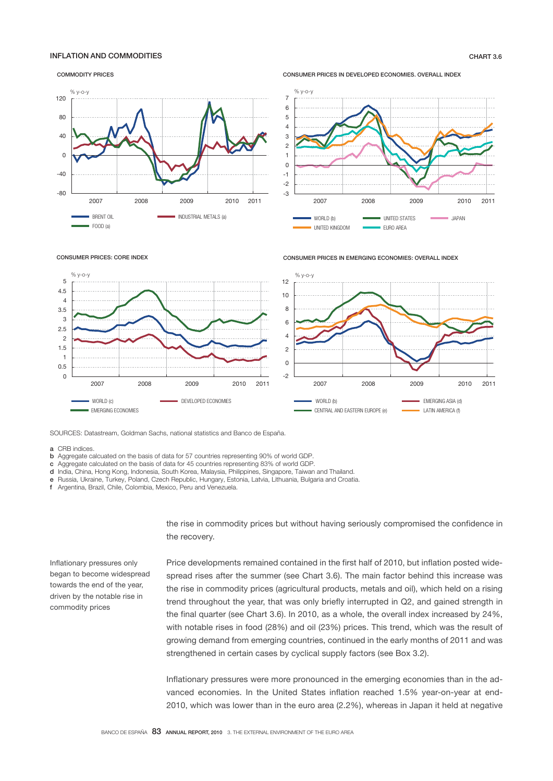## INFLATION AND COMMODITIES CHART 3.6

COMMODITY PRICES









CONSUMER PRICES IN EMERGING ECONOMIES: OVERALL INDEX



SOURCES: Datastream, Goldman Sachs, national statistics and Banco de España.

a CRB indices.

- b Aggregate calcuated on the basis of data for 57 countries representing 90% of world GDP.
- c Aggregate calculated on the basis of data for 45 countries representing 83% of world GDP.
- d India, China, Hong Kong, Indonesia, South Korea, Malaysia, Philippines, Singapore, Taiwan and Thailand.
- e Russia, Ukraine, Turkey, Poland, Czech Republic, Hungary, Estonia, Latvia, Lithuania, Bulgaria and Croatia.
- f Argentina, Brazil, Chile, Colombia, Mexico, Peru and Venezuela.

the rise in commodity prices but without having seriously compromised the confidence in the recovery.

Inflationary pressures only began to become widespread towards the end of the year, driven by the notable rise in commodity prices

Price developments remained contained in the first half of 2010, but inflation posted widespread rises after the summer (see Chart 3.6). The main factor behind this increase was the rise in commodity prices (agricultural products, metals and oil), which held on a rising trend throughout the year, that was only briefly interrupted in Q2, and gained strength in the final quarter (see Chart 3.6). In 2010, as a whole, the overall index increased by 24%, with notable rises in food (28%) and oil (23%) prices. This trend, which was the result of growing demand from emerging countries, continued in the early months of 2011 and was strengthened in certain cases by cyclical supply factors (see Box 3.2).

Inflationary pressures were more pronounced in the emerging economies than in the advanced economies. In the United States inflation reached 1.5% year-on-year at end-2010, which was lower than in the euro area (2.2%), whereas in Japan it held at negative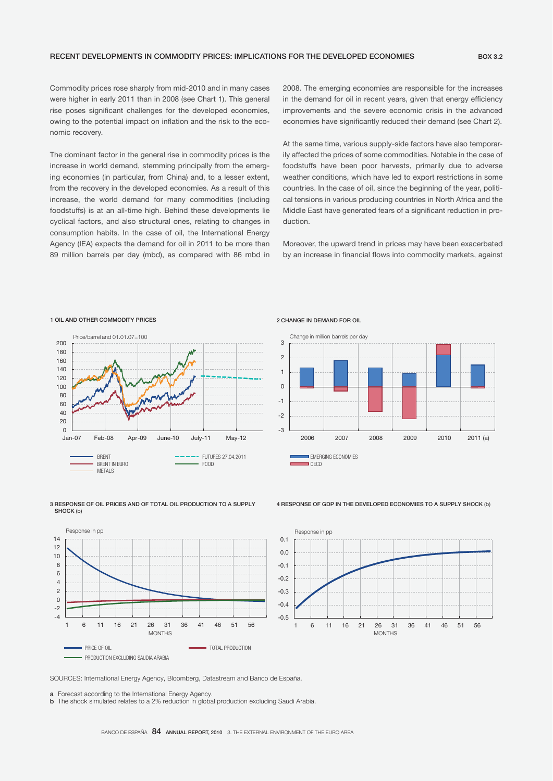Commodity prices rose sharply from mid-2010 and in many cases were higher in early 2011 than in 2008 (see Chart 1). This general rise poses significant challenges for the developed economies, owing to the potential impact on inflation and the risk to the economic recovery.

The dominant factor in the general rise in commodity prices is the increase in world demand, stemming principally from the emerging economies (in particular, from China) and, to a lesser extent, from the recovery in the developed economies. As a result of this increase, the world demand for many commodities (including foodstuffs) is at an all-time high. Behind these developments lie cyclical factors, and also structural ones, relating to changes in consumption habits. In the case of oil, the International Energy Agency (IEA) expects the demand for oil in 2011 to be more than 89 million barrels per day (mbd), as compared with 86 mbd in 2008. The emerging economies are responsible for the increases in the demand for oil in recent years, given that energy efficiency improvements and the severe economic crisis in the advanced economies have significantly reduced their demand (see Chart 2).

At the same time, various supply-side factors have also temporarily affected the prices of some commodities. Notable in the case of foodstuffs have been poor harvests, primarily due to adverse weather conditions, which have led to export restrictions in some countries. In the case of oil, since the beginning of the year, political tensions in various producing countries in North Africa and the Middle East have generated fears of a significant reduction in production.

Moreover, the upward trend in prices may have been exacerbated by an increase in financial flows into commodity markets, against



### 1 OIL AND OTHER COMMODITY PRICES

### 3 RESPONSE OF OIL PRICES AND OF TOTAL OIL PRODUCTION TO A SUPPLY SHOCK (b)



# 2 CHANGE IN DEMAND FOR OIL



### 4 RESPONSE OF GDP IN THE DEVELOPED ECONOMIES TO A SUPPLY SHOCK (b)



SOURCES: International Energy Agency, Bloomberg, Datastream and Banco de España.

a Forecast according to the International Energy Agency.

**b** The shock simulated relates to a 2% reduction in global production excluding Saudi Arabia.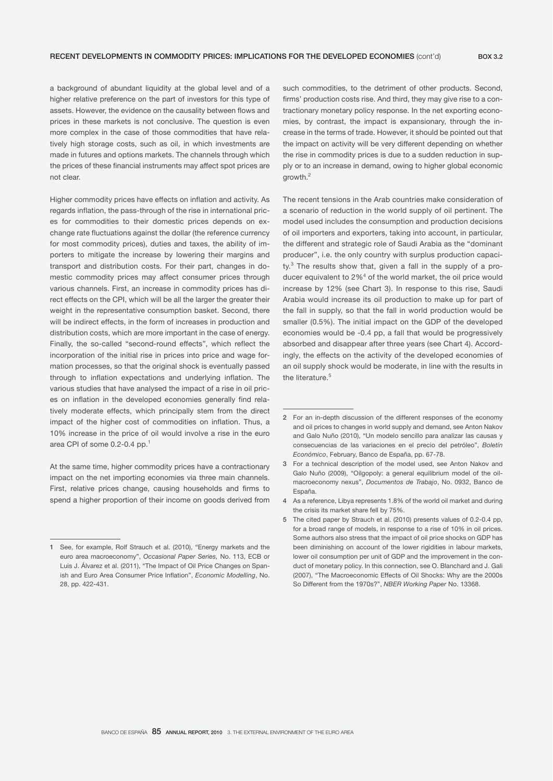a background of abundant liquidity at the global level and of a higher relative preference on the part of investors for this type of assets. However, the evidence on the causality between flows and prices in these markets is not conclusive. The question is even more complex in the case of those commodities that have relatively high storage costs, such as oil, in which investments are made in futures and options markets. The channels through which the prices of these financial instruments may affect spot prices are not clear.

Higher commodity prices have effects on inflation and activity. As regards inflation, the pass-through of the rise in international prices for commodities to their domestic prices depends on exchange rate fluctuations against the dollar (the reference currency for most commodity prices), duties and taxes, the ability of importers to mitigate the increase by lowering their margins and transport and distribution costs. For their part, changes in domestic commodity prices may affect consumer prices through various channels. First, an increase in commodity prices has direct effects on the CPI, which will be all the larger the greater their weight in the representative consumption basket. Second, there will be indirect effects, in the form of increases in production and distribution costs, which are more important in the case of energy. Finally, the so-called "second-round effects", which reflect the incorporation of the initial rise in prices into price and wage formation processes, so that the original shock is eventually passed through to inflation expectations and underlying inflation. The various studies that have analysed the impact of a rise in oil prices on inflation in the developed economies generally find relatively moderate effects, which principally stem from the direct impact of the higher cost of commodities on inflation. Thus, a 10% increase in the price of oil would involve a rise in the euro area CPI of some 0.2-0.4 pp.<sup>1</sup>

At the same time, higher commodity prices have a contractionary impact on the net importing economies via three main channels. First, relative prices change, causing households and firms to spend a higher proportion of their income on goods derived from

such commodities, to the detriment of other products. Second, firms' production costs rise. And third, they may give rise to a contractionary monetary policy response. In the net exporting economies, by contrast, the impact is expansionary, through the increase in the terms of trade. However, it should be pointed out that the impact on activity will be very different depending on whether the rise in commodity prices is due to a sudden reduction in supply or to an increase in demand, owing to higher global economic growth.<sup>2</sup>

The recent tensions in the Arab countries make consideration of a scenario of reduction in the world supply of oil pertinent. The model used includes the consumption and production decisions of oil importers and exporters, taking into account, in particular, the different and strategic role of Saudi Arabia as the "dominant producer", i.e. the only country with surplus production capacity.<sup>3</sup> The results show that, given a fall in the supply of a producer equivalent to 2%<sup>4</sup> of the world market, the oil price would increase by 12% (see Chart 3). In response to this rise, Saudi Arabia would increase its oil production to make up for part of the fall in supply, so that the fall in world production would be smaller (0.5%). The initial impact on the GDP of the developed economies would be -0.4 pp, a fall that would be progressively absorbed and disappear after three years (see Chart 4). Accordingly, the effects on the activity of the developed economies of an oil supply shock would be moderate, in line with the results in the literature.<sup>5</sup>

<sup>1</sup> See, for example, Rolf Strauch et al. (2010), "Energy markets and the euro area macroeconomy", *Occasional Paper Series,* No. 113, ECB or Luis J. Álvarez et al. (2011), "The Impact of Oil Price Changes on Spanish and Euro Area Consumer Price Inflation", *Economic Modelling*, No. 28, pp. 422-431.

<sup>2</sup> For an in-depth discussion of the different responses of the economy and oil prices to changes in world supply and demand, see Anton Nakov and Galo Nuño (2010), "Un modelo sencillo para analizar las causas y consecuencias de las variaciones en el precio del petróleo", *Boletín Económico*, February, Banco de España, pp. 67-78.

<sup>3</sup> For a technical description of the model used, see Anton Nakov and Galo Nuño (2009), "Oilgopoly: a general equilibrium model of the oilmacroeconomy nexus", *Documentos de Trabajo*, No. 0932, Banco de España.

<sup>4</sup> As a reference, Libya represents 1.8% of the world oil market and during the crisis its market share fell by 75%.

<sup>5</sup> The cited paper by Strauch et al. (2010) presents values of 0.2-0.4 pp, for a broad range of models, in response to a rise of 10% in oil prices. Some authors also stress that the impact of oil price shocks on GDP has been diminishing on account of the lower rigidities in labour markets. lower oil consumption per unit of GDP and the improvement in the conduct of monetary policy. In this connection, see O. Blanchard and J. Gali (2007), "The Macroeconomic Effects of Oil Shocks: Why are the 2000s So Different from the 1970s?", *NBER Working Paper* No. 13368.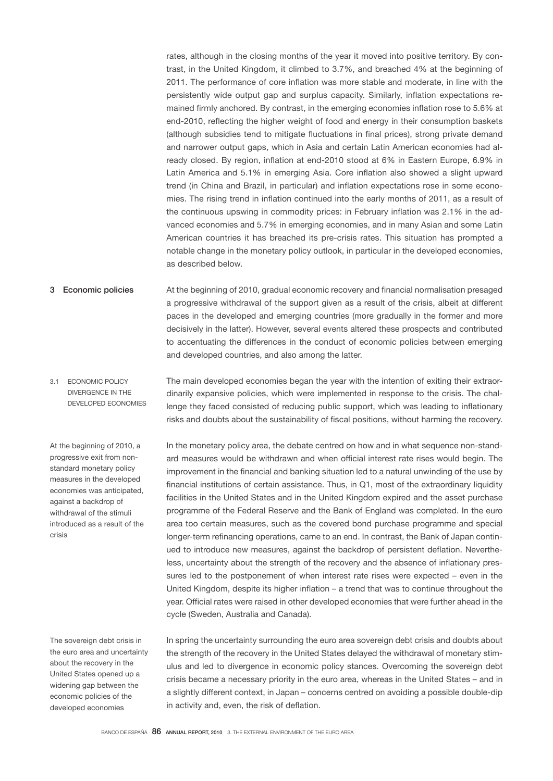rates, although in the closing months of the year it moved into positive territory. By contrast, in the United Kingdom, it climbed to 3.7%, and breached 4% at the beginning of 2011. The performance of core inflation was more stable and moderate, in line with the persistently wide output gap and surplus capacity. Similarly, inflation expectations remained firmly anchored. By contrast, in the emerging economies inflation rose to 5.6% at end-2010, reflecting the higher weight of food and energy in their consumption baskets (although subsidies tend to mitigate fluctuations in final prices), strong private demand and narrower output gaps, which in Asia and certain Latin American economies had already closed. By region, inflation at end-2010 stood at 6% in Eastern Europe, 6.9% in Latin America and 5.1% in emerging Asia. Core inflation also showed a slight upward trend (in China and Brazil, in particular) and inflation expectations rose in some economies. The rising trend in inflation continued into the early months of 2011, as a result of the continuous upswing in commodity prices: in February inflation was 2.1% in the advanced economies and 5.7% in emerging economies, and in many Asian and some Latin American countries it has breached its pre-crisis rates. This situation has prompted a notable change in the monetary policy outlook, in particular in the developed economies, as described below.

- At the beginning of 2010, gradual economic recovery and financial normalisation presaged a progressive withdrawal of the support given as a result of the crisis, albeit at different paces in the developed and emerging countries (more gradually in the former and more decisively in the latter). However, several events altered these prospects and contributed to accentuating the differences in the conduct of economic policies between emerging and developed countries, and also among the latter. 3 Economic policies
- The main developed economies began the year with the intention of exiting their extraordinarily expansive policies, which were implemented in response to the crisis. The challenge they faced consisted of reducing public support, which was leading to inflationary risks and doubts about the sustainability of fiscal positions, without harming the recovery. 3.1 ECONOMIC POLICY DIVERGENCE IN THE DEVELOPED ECONOMIES

At the beginning of 2010, a progressive exit from nonstandard monetary policy measures in the developed economies was anticipated, against a backdrop of withdrawal of the stimuli introduced as a result of the crisis

The sovereign debt crisis in the euro area and uncertainty about the recovery in the United States opened up a widening gap between the economic policies of the developed economies

In the monetary policy area, the debate centred on how and in what sequence non-standard measures would be withdrawn and when official interest rate rises would begin. The improvement in the financial and banking situation led to a natural unwinding of the use by financial institutions of certain assistance. Thus, in Q1, most of the extraordinary liquidity facilities in the United States and in the United Kingdom expired and the asset purchase programme of the Federal Reserve and the Bank of England was completed. In the euro area too certain measures, such as the covered bond purchase programme and special longer-term refinancing operations, came to an end. In contrast, the Bank of Japan continued to introduce new measures, against the backdrop of persistent deflation. Nevertheless, uncertainty about the strength of the recovery and the absence of inflationary pressures led to the postponement of when interest rate rises were expected – even in the United Kingdom, despite its higher inflation – a trend that was to continue throughout the year. Official rates were raised in other developed economies that were further ahead in the cycle (Sweden, Australia and Canada).

In spring the uncertainty surrounding the euro area sovereign debt crisis and doubts about the strength of the recovery in the United States delayed the withdrawal of monetary stimulus and led to divergence in economic policy stances. Overcoming the sovereign debt crisis became a necessary priority in the euro area, whereas in the United States – and in a slightly different context, in Japan – concerns centred on avoiding a possible double-dip in activity and, even, the risk of deflation.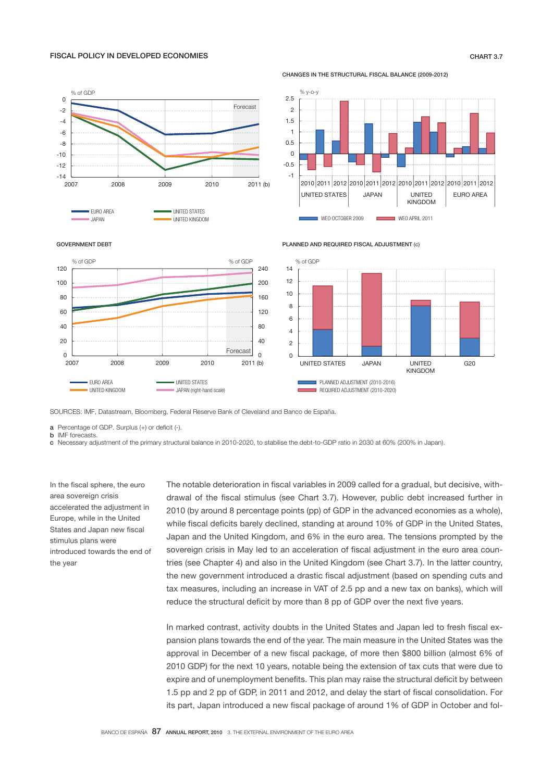## FISCAL POLICY IN DEVELOPED ECONOMIES CHART 3.7

### CHANGES IN THE STRUCTURAL FISCAL BALANCE (2009-2012)

PLANNED AND REQUIRED FISCAL ADJUSTMENT (c)





JAPAN UNITED KINGDOM





SOURCES: IMF, Datastream, Bloomberg, Federal Reserve Bank of Cleveland and Banco de España.

 $a$  Percentage of GDP. Surplus  $(+)$  or deficit  $($ - $).$ 

**b** IMF forecasts.

c - Necessary adjustment of the primary structural balance in 2010-2020, to stabilise the debt-to-GDP ratio in 2030 at 60% (200% in Japan).

In the fiscal sphere, the euro area sovereign crisis accelerated the adjustment in Europe, while in the United States and Japan new fiscal stimulus plans were introduced towards the end of the year

The notable deterioration in fiscal variables in 2009 called for a gradual, but decisive, withdrawal of the fiscal stimulus (see Chart 3.7). However, public debt increased further in 2010 (by around 8 percentage points (pp) of GDP in the advanced economies as a whole), while fiscal deficits barely declined, standing at around 10% of GDP in the United States, Japan and the United Kingdom, and 6% in the euro area. The tensions prompted by the sovereign crisis in May led to an acceleration of fiscal adjustment in the euro area countries (see Chapter 4) and also in the United Kingdom (see Chart 3.7). In the latter country, the new government introduced a drastic fiscal adjustment (based on spending cuts and tax measures, including an increase in VAT of 2.5 pp and a new tax on banks), which will reduce the structural deficit by more than 8 pp of GDP over the next five years.

In marked contrast, activity doubts in the United States and Japan led to fresh fiscal expansion plans towards the end of the year. The main measure in the United States was the approval in December of a new fiscal package, of more then \$800 billion (almost 6% of 2010 GDP) for the next 10 years, notable being the extension of tax cuts that were due to expire and of unemployment benefits. This plan may raise the structural deficit by between 1.5 pp and 2 pp of GDP, in 2011 and 2012, and delay the start of fiscal consolidation. For its part, Japan introduced a new fiscal package of around 1% of GDP in October and fol-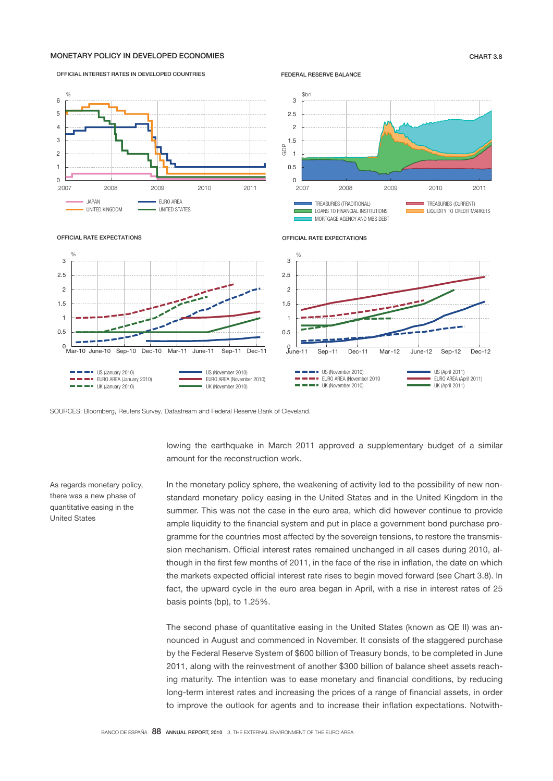## MONETARY POLICY IN DEVELOPED ECONOMIES CHART 3.8

OFFICIAL INTEREST RATES IN DEVELOPED COUNTRIES

## $0 - 200$ 1 2 3 4 5 6 2007 2008 2009 2010 2011 JAPAN EURO AREA UNITED KINGDOM **UNITED STATES**  $\%$

FEDERAL RESERVE BALANCE



OFFICIAL RATE EXPECTATIONS



SOURCES: Bloomberg, Reuters Survey, Datastream and Federal Reserve Bank of Cleveland.

lowing the earthquake in March 2011 approved a supplementary budget of a similar amount for the reconstruction work.

In the monetary policy sphere, the weakening of activity led to the possibility of new nonstandard monetary policy easing in the United States and in the United Kingdom in the summer. This was not the case in the euro area, which did however continue to provide ample liquidity to the financial system and put in place a government bond purchase programme for the countries most affected by the sovereign tensions, to restore the transmission mechanism. Official interest rates remained unchanged in all cases during 2010, although in the first few months of 2011, in the face of the rise in inflation, the date on which the markets expected official interest rate rises to begin moved forward (see Chart 3.8). In fact, the upward cycle in the euro area began in April, with a rise in interest rates of 25 basis points (bp), to 1.25%.

The second phase of quantitative easing in the United States (known as QE II) was announced in August and commenced in November. It consists of the staggered purchase by the Federal Reserve System of \$600 billion of Treasury bonds, to be completed in June 2011, along with the reinvestment of another \$300 billion of balance sheet assets reaching maturity. The intention was to ease monetary and financial conditions, by reducing long-term interest rates and increasing the prices of a range of financial assets, in order to improve the outlook for agents and to increase their inflation expectations. Notwith-

As regards monetary policy, there was a new phase of quantitative easing in the United States

OFFICIAL RATE EXPECTATIONS

0.5 1 1.5  $\overline{2}$ 2.5 3 %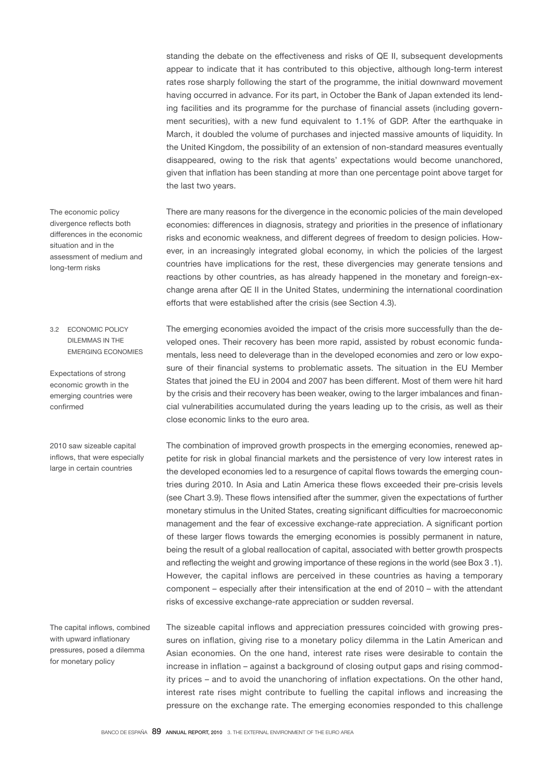standing the debate on the effectiveness and risks of QE II, subsequent developments appear to indicate that it has contributed to this objective, although long-term interest rates rose sharply following the start of the programme, the initial downward movement having occurred in advance. For its part, in October the Bank of Japan extended its lending facilities and its programme for the purchase of financial assets (including government securities), with a new fund equivalent to 1.1% of GDP. After the earthquake in March, it doubled the volume of purchases and injected massive amounts of liquidity. In the United Kingdom, the possibility of an extension of non-standard measures eventually disappeared, owing to the risk that agents' expectations would become unanchored, given that inflation has been standing at more than one percentage point above target for the last two years.

There are many reasons for the divergence in the economic policies of the main developed economies: differences in diagnosis, strategy and priorities in the presence of inflationary risks and economic weakness, and different degrees of freedom to design policies. However, in an increasingly integrated global economy, in which the policies of the largest countries have implications for the rest, these divergencies may generate tensions and reactions by other countries, as has already happened in the monetary and foreign-exchange arena after QE II in the United States, undermining the international coordination efforts that were established after the crisis (see Section 4.3).

The emerging economies avoided the impact of the crisis more successfully than the developed ones. Their recovery has been more rapid, assisted by robust economic fundamentals, less need to deleverage than in the developed economies and zero or low exposure of their financial systems to problematic assets. The situation in the EU Member States that joined the EU in 2004 and 2007 has been different. Most of them were hit hard by the crisis and their recovery has been weaker, owing to the larger imbalances and financial vulnerabilities accumulated during the years leading up to the crisis, as well as their close economic links to the euro area.

The combination of improved growth prospects in the emerging economies, renewed appetite for risk in global financial markets and the persistence of very low interest rates in the developed economies led to a resurgence of capital flows towards the emerging countries during 2010. In Asia and Latin America these flows exceeded their pre-crisis levels (see Chart 3.9). These flows intensified after the summer, given the expectations of further monetary stimulus in the United States, creating significant difficulties for macroeconomic management and the fear of excessive exchange-rate appreciation. A significant portion of these larger flows towards the emerging economies is possibly permanent in nature, being the result of a global reallocation of capital, associated with better growth prospects and reflecting the weight and growing importance of these regions in the world (see Box 3 .1). However, the capital inflows are perceived in these countries as having a temporary component – especially after their intensification at the end of 2010 – with the attendant risks of excessive exchange-rate appreciation or sudden reversal.

The sizeable capital inflows and appreciation pressures coincided with growing pressures on inflation, giving rise to a monetary policy dilemma in the Latin American and Asian economies. On the one hand, interest rate rises were desirable to contain the increase in inflation – against a background of closing output gaps and rising commodity prices – and to avoid the unanchoring of inflation expectations. On the other hand, interest rate rises might contribute to fuelling the capital inflows and increasing the pressure on the exchange rate. The emerging economies responded to this challenge

The economic policy divergence reflects both differences in the economic situation and in the assessment of medium and long-term risks

## 3.2 ECONOMIC POLICY DILEMMAS IN THE EMERGING ECONOMIES

Expectations of strong economic growth in the emerging countries were confirmed

2010 saw sizeable capital inflows, that were especially large in certain countries

The capital inflows, combined with upward inflationary pressures, posed a dilemma for monetary policy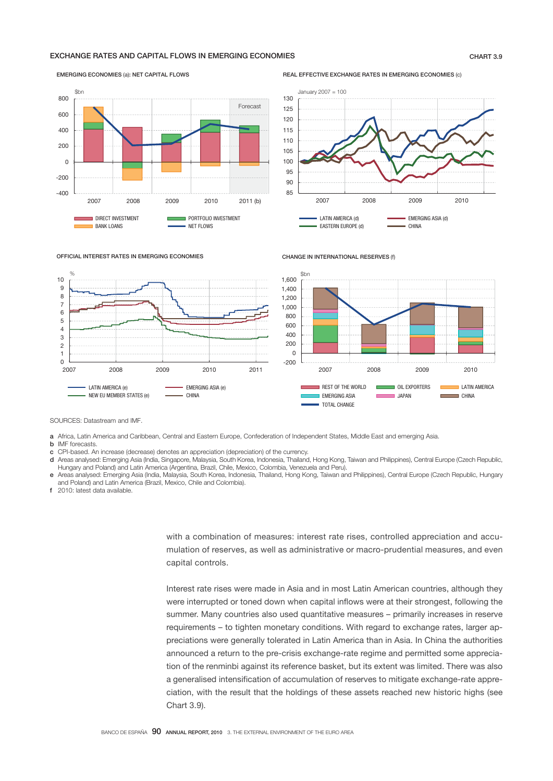## EXCHANGE RATES AND CAPITAL FLOWS IN EMERGING ECONOMIES CHART 3.9

## -400 -200  $\Omega$ 200 400 600 800 2007 2008 2009 2010 2011 (b) ■ DIRECT INVESTMENT<br>■ RANK I QANS  $\Box$  BANK LOANS  $Rh$ n Forecast

REAL EFFECTIVE EXCHANGE RATES IN EMERGING ECONOMIES (c)





EMERGING ECONOMIES (a): NET CAPITAL FLOWS



SOURCES: Datastream and IMF.

- a Africa, Latin America and Caribbean, Central and Eastern Europe, Confederation of Independent States, Middle East and emerging Asia.
- **b** IMF forecasts
- c CPI-based. An increase (decrease) denotes an appreciation (depreciation) of the currency.
- d Areas analysed: Emerging Asia (India, Singapore, Malaysia, South Korea, Indonesia, Thailand, Hong Kong, Taiwan and Philippines), Central Europe (Czech Republic, Hungary and Poland) and Latin America (Argentina, Brazil, Chile, Mexico, Colombia, Venezuela and Peru).
- e Areas analysed: Emerging Asia (India, Malaysia, South Korea, Indonesia, Thailand, Hong Kong, Taiwan and Philippines), Central Europe (Czech Republic, Hungary and Poland) and Latin America (Brazil, Mexico, Chile and Colombia).
- f 2010: latest data available.

with a combination of measures: interest rate rises, controlled appreciation and accumulation of reserves, as well as administrative or macro-prudential measures, and even capital controls.

CHANGE IN INTERNATIONAL RESERVES (f)

Interest rate rises were made in Asia and in most Latin American countries, although they were interrupted or toned down when capital inflows were at their strongest, following the summer. Many countries also used quantitative measures – primarily increases in reserve requirements – to tighten monetary conditions. With regard to exchange rates, larger appreciations were generally tolerated in Latin America than in Asia. In China the authorities announced a return to the pre-crisis exchange-rate regime and permitted some appreciation of the renminbi against its reference basket, but its extent was limited. There was also a generalised intensification of accumulation of reserves to mitigate exchange-rate appreciation, with the result that the holdings of these assets reached new historic highs (see Chart 3.9).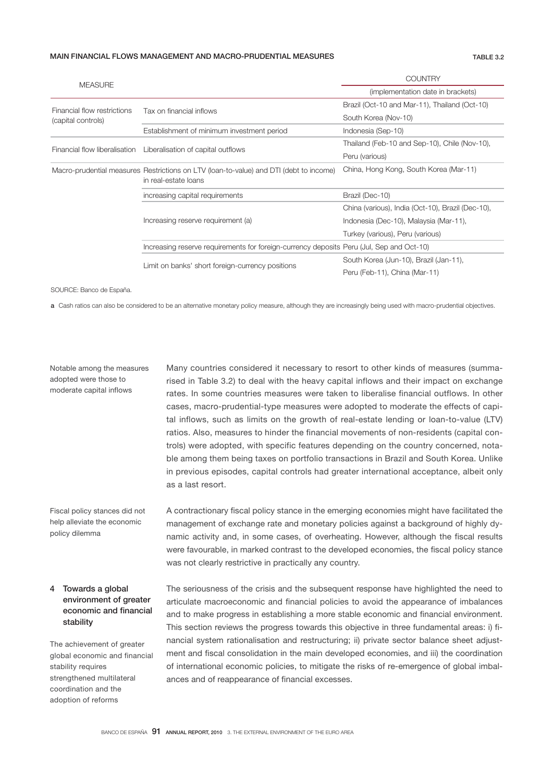### MAIN FINANCIAL FLOWS MANAGEMENT AND MACRO-PRUDENTIAL MEASURES TABLE 3.2

| <b>MEASURE</b>                                                   |                                                                                          | COUNTRY                                           |  |  |
|------------------------------------------------------------------|------------------------------------------------------------------------------------------|---------------------------------------------------|--|--|
|                                                                  |                                                                                          | (implementation date in brackets)                 |  |  |
| Financial flow restrictions<br>(capital controls)                |                                                                                          | Brazil (Oct-10 and Mar-11), Thailand (Oct-10)     |  |  |
|                                                                  | Tax on financial inflows                                                                 | South Korea (Nov-10)                              |  |  |
|                                                                  | Establishment of minimum investment period                                               | Indonesia (Sep-10)                                |  |  |
| Financial flow liberalisation Liberalisation of capital outflows |                                                                                          | Thailand (Feb-10 and Sep-10), Chile (Nov-10),     |  |  |
|                                                                  |                                                                                          | Peru (various)                                    |  |  |
|                                                                  | Macro-prudential measures Restrictions on LTV (loan-to-value) and DTI (debt to income)   | China, Hong Kong, South Korea (Mar-11)            |  |  |
|                                                                  | in real-estate loans                                                                     |                                                   |  |  |
|                                                                  | increasing capital requirements                                                          | Brazil (Dec-10)                                   |  |  |
|                                                                  |                                                                                          | China (various), India (Oct-10), Brazil (Dec-10), |  |  |
|                                                                  | Increasing reserve requirement (a)                                                       | Indonesia (Dec-10), Malaysia (Mar-11),            |  |  |
|                                                                  |                                                                                          | Turkey (various), Peru (various)                  |  |  |
|                                                                  | Increasing reserve requirements for foreign-currency deposits Peru (Jul, Sep and Oct-10) |                                                   |  |  |
|                                                                  | Limit on banks' short foreign-currency positions                                         | South Korea (Jun-10), Brazil (Jan-11),            |  |  |
|                                                                  |                                                                                          | Peru (Feb-11), China (Mar-11)                     |  |  |

SOURCE: Banco de España.

a Cash ratios can also be considered to be an alternative monetary policy measure, although they are increasingly being used with macro-prudential objectives.

Notable among the measures adopted were those to moderate capital inflows

Many countries considered it necessary to resort to other kinds of measures (summarised in Table 3.2) to deal with the heavy capital inflows and their impact on exchange rates. In some countries measures were taken to liberalise financial outflows. In other cases, macro-prudential-type measures were adopted to moderate the effects of capital inflows, such as limits on the growth of real-estate lending or loan-to-value (LTV) ratios. Also, measures to hinder the financial movements of non-residents (capital controls) were adopted, with specific features depending on the country concerned, notable among them being taxes on portfolio transactions in Brazil and South Korea. Unlike in previous episodes, capital controls had greater international acceptance, albeit only as a last resort.

Fiscal policy stances did not help alleviate the economic policy dilemma

A contractionary fiscal policy stance in the emerging economies might have facilitated the management of exchange rate and monetary policies against a background of highly dynamic activity and, in some cases, of overheating. However, although the fiscal results were favourable, in marked contrast to the developed economies, the fiscal policy stance was not clearly restrictive in practically any country.

## 4 Towards a global environment of greater economic and financial stability

The achievement of greater global economic and financial stability requires strengthened multilateral coordination and the adoption of reforms

The seriousness of the crisis and the subsequent response have highlighted the need to articulate macroeconomic and financial policies to avoid the appearance of imbalances and to make progress in establishing a more stable economic and financial environment. This section reviews the progress towards this objective in three fundamental areas: i) financial system rationalisation and restructuring; ii) private sector balance sheet adjustment and fiscal consolidation in the main developed economies, and iii) the coordination of international economic policies, to mitigate the risks of re-emergence of global imbalances and of reappearance of financial excesses.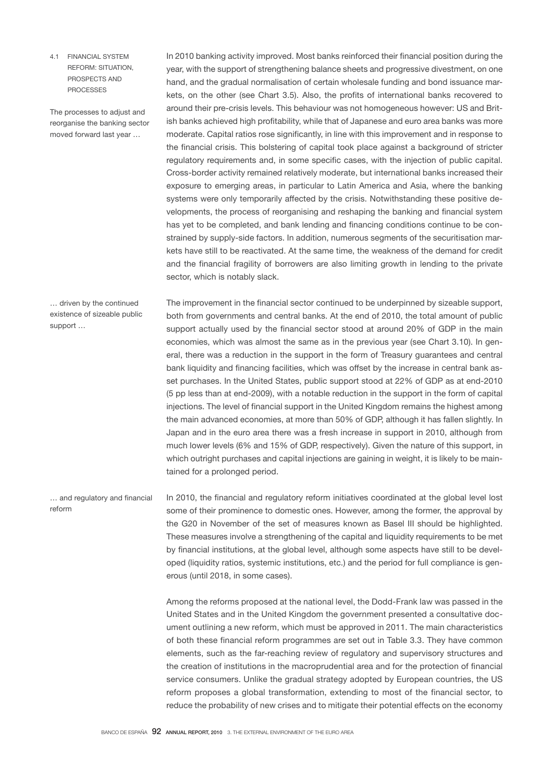4.1 FINANCIAL SYSTEM REFORM: SITUATION, PROSPECTS AND **PROCESSES** 

The processes to adjust and reorganise the banking sector moved forward last year …

In 2010 banking activity improved. Most banks reinforced their financial position during the year, with the support of strengthening balance sheets and progressive divestment, on one hand, and the gradual normalisation of certain wholesale funding and bond issuance markets, on the other (see Chart 3.5). Also, the profits of international banks recovered to around their pre-crisis levels. This behaviour was not homogeneous however: US and British banks achieved high profitability, while that of Japanese and euro area banks was more moderate. Capital ratios rose significantly, in line with this improvement and in response to the financial crisis. This bolstering of capital took place against a background of stricter regulatory requirements and, in some specific cases, with the injection of public capital. Cross-border activity remained relatively moderate, but international banks increased their exposure to emerging areas, in particular to Latin America and Asia, where the banking systems were only temporarily affected by the crisis. Notwithstanding these positive developments, the process of reorganising and reshaping the banking and financial system has yet to be completed, and bank lending and financing conditions continue to be constrained by supply-side factors. In addition, numerous segments of the securitisation markets have still to be reactivated. At the same time, the weakness of the demand for credit and the financial fragility of borrowers are also limiting growth in lending to the private sector, which is notably slack.

The improvement in the financial sector continued to be underpinned by sizeable support, both from governments and central banks. At the end of 2010, the total amount of public support actually used by the financial sector stood at around 20% of GDP in the main economies, which was almost the same as in the previous year (see Chart 3.10). In general, there was a reduction in the support in the form of Treasury guarantees and central bank liquidity and financing facilities, which was offset by the increase in central bank asset purchases. In the United States, public support stood at 22% of GDP as at end-2010 (5 pp less than at end-2009), with a notable reduction in the support in the form of capital injections. The level of financial support in the United Kingdom remains the highest among the main advanced economies, at more than 50% of GDP, although it has fallen slightly. In Japan and in the euro area there was a fresh increase in support in 2010, although from much lower levels (6% and 15% of GDP, respectively). Given the nature of this support, in which outright purchases and capital injections are gaining in weight, it is likely to be maintained for a prolonged period.

In 2010, the financial and regulatory reform initiatives coordinated at the global level lost some of their prominence to domestic ones. However, among the former, the approval by the G20 in November of the set of measures known as Basel III should be highlighted. These measures involve a strengthening of the capital and liquidity requirements to be met by financial institutions, at the global level, although some aspects have still to be developed (liquidity ratios, systemic institutions, etc.) and the period for full compliance is generous (until 2018, in some cases). reform

> Among the reforms proposed at the national level, the Dodd-Frank law was passed in the United States and in the United Kingdom the government presented a consultative document outlining a new reform, which must be approved in 2011. The main characteristics of both these financial reform programmes are set out in Table 3.3. They have common elements, such as the far-reaching review of regulatory and supervisory structures and the creation of institutions in the macroprudential area and for the protection of financial service consumers. Unlike the gradual strategy adopted by European countries, the US reform proposes a global transformation, extending to most of the financial sector, to reduce the probability of new crises and to mitigate their potential effects on the economy

… driven by the continued existence of sizeable public support …

… and regulatory and financial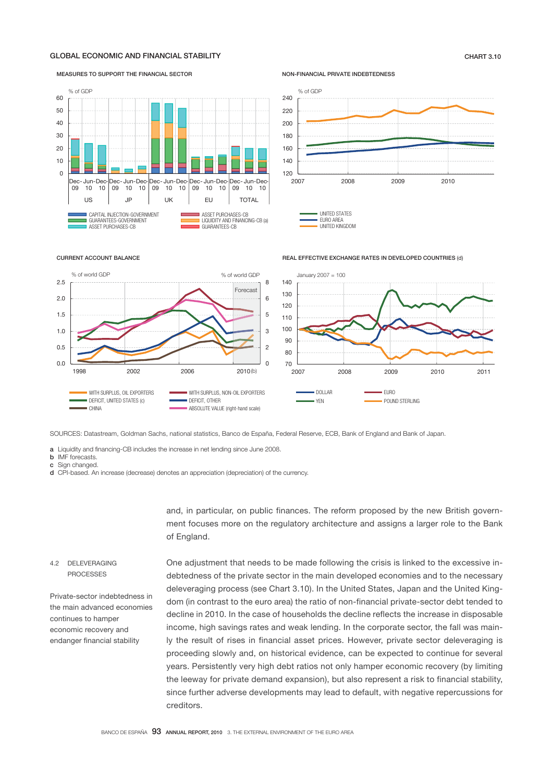## GLOBAL ECONOMIC AND FINANCIAL STABILITY CHART 3.10



NON-FINANCIAL PRIVATE INDEBTEDNESS



### CURRENT ACCOUNT BALANCE



SOURCES: Datastream, Goldman Sachs, national statistics, Banco de España, Federal Reserve, ECB, Bank of England and Bank of Japan.

a Liquidity and financing-CB includes the increase in net lending since June 2008.

b IMF forecasts.

c Sign changed

d CPI-based. An increase (decrease) denotes an appreciation (depreciation) of the currency.

and, in particular, on public finances. The reform proposed by the new British government focuses more on the regulatory architecture and assigns a larger role to the Bank of England.

One adjustment that needs to be made following the crisis is linked to the excessive in-

## 4.2 DELEVERAGING **PROCESSES**

Private-sector indebtedness in the main advanced economies continues to hamper economic recovery and endanger financial stability

debtedness of the private sector in the main developed economies and to the necessary deleveraging process (see Chart 3.10). In the United States, Japan and the United Kingdom (in contrast to the euro area) the ratio of non-financial private-sector debt tended to decline in 2010. In the case of households the decline reflects the increase in disposable income, high savings rates and weak lending. In the corporate sector, the fall was mainly the result of rises in financial asset prices. However, private sector deleveraging is proceeding slowly and, on historical evidence, can be expected to continue for several years. Persistently very high debt ratios not only hamper economic recovery (by limiting the leeway for private demand expansion), but also represent a risk to financial stability, since further adverse developments may lead to default, with negative repercussions for creditors.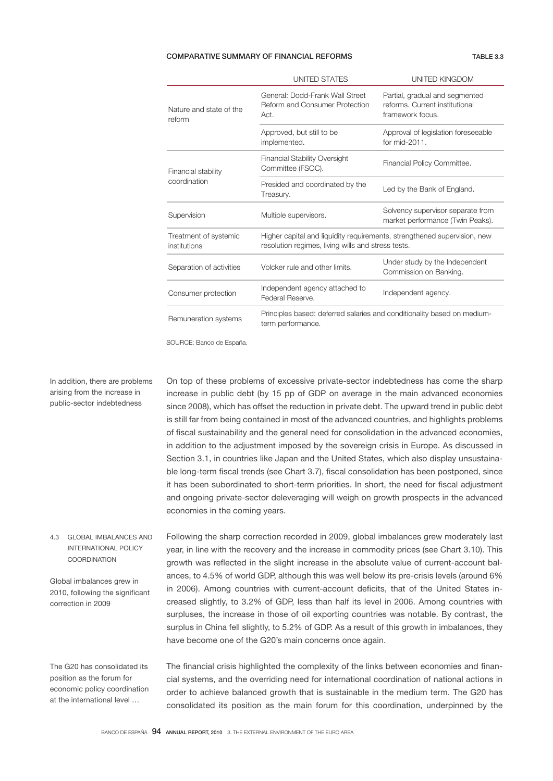### COMPARATIVE SUMMARY OF FINANCIAL REFORMS TABLE 3.3

|                                       | UNITED STATES                                                                                                                  | UNITED KINGDOM                                                                       |  |  |  |
|---------------------------------------|--------------------------------------------------------------------------------------------------------------------------------|--------------------------------------------------------------------------------------|--|--|--|
| Nature and state of the<br>reform     | General: Dodd-Frank Wall Street<br>Reform and Consumer Protection<br>Act.                                                      | Partial, gradual and segmented<br>reforms. Current institutional<br>framework focus. |  |  |  |
|                                       | Approved, but still to be<br>implemented.                                                                                      | Approval of legislation foreseeable<br>for mid-2011.                                 |  |  |  |
| Financial stability<br>coordination   | <b>Financial Stability Oversight</b><br>Committee (FSOC).                                                                      | Financial Policy Committee.                                                          |  |  |  |
|                                       | Presided and coordinated by the<br>Treasury.                                                                                   | Led by the Bank of England.                                                          |  |  |  |
| Supervision                           | Multiple supervisors.                                                                                                          | Solvency supervisor separate from<br>market performance (Twin Peaks).                |  |  |  |
| Treatment of systemic<br>institutions | Higher capital and liquidity requirements, strengthened supervision, new<br>resolution regimes, living wills and stress tests. |                                                                                      |  |  |  |
| Separation of activities              | Volcker rule and other limits.                                                                                                 | Under study by the Independent<br>Commission on Banking.                             |  |  |  |
| Consumer protection                   | Independent agency attached to<br>Federal Reserve.                                                                             | Independent agency.                                                                  |  |  |  |
| Remuneration systems                  | Principles based: deferred salaries and conditionality based on medium-<br>term performance.                                   |                                                                                      |  |  |  |

SOURCE: Banco de España.

## In addition, there are problems arising from the increase in public-sector indebtedness

On top of these problems of excessive private-sector indebtedness has come the sharp increase in public debt (by 15 pp of GDP on average in the main advanced economies since 2008), which has offset the reduction in private debt. The upward trend in public debt is still far from being contained in most of the advanced countries, and highlights problems of fiscal sustainability and the general need for consolidation in the advanced economies, in addition to the adjustment imposed by the sovereign crisis in Europe. As discussed in Section 3.1, in countries like Japan and the United States, which also display unsustainable long-term fiscal trends (see Chart 3.7), fiscal consolidation has been postponed, since it has been subordinated to short-term priorities. In short, the need for fiscal adjustment and ongoing private-sector deleveraging will weigh on growth prospects in the advanced economies in the coming years.

Following the sharp correction recorded in 2009, global imbalances grew moderately last year, in line with the recovery and the increase in commodity prices (see Chart 3.10). This growth was reflected in the slight increase in the absolute value of current-account balances, to 4.5% of world GDP, although this was well below its pre-crisis levels (around 6% in 2006). Among countries with current-account deficits, that of the United States increased slightly, to 3.2% of GDP, less than half its level in 2006. Among countries with surpluses, the increase in those of oil exporting countries was notable. By contrast, the surplus in China fell slightly, to 5.2% of GDP. As a result of this growth in imbalances, they have become one of the G20's main concerns once again. 4.3 GLOBAL IMBALANCES AND INTERNATIONAL POLICY **COORDINATION** Global imbalances grew in 2010, following the significant correction in 2009

The G20 has consolidated its position as the forum for economic policy coordination at the international level …

The financial crisis highlighted the complexity of the links between economies and financial systems, and the overriding need for international coordination of national actions in order to achieve balanced growth that is sustainable in the medium term. The G20 has consolidated its position as the main forum for this coordination, underpinned by the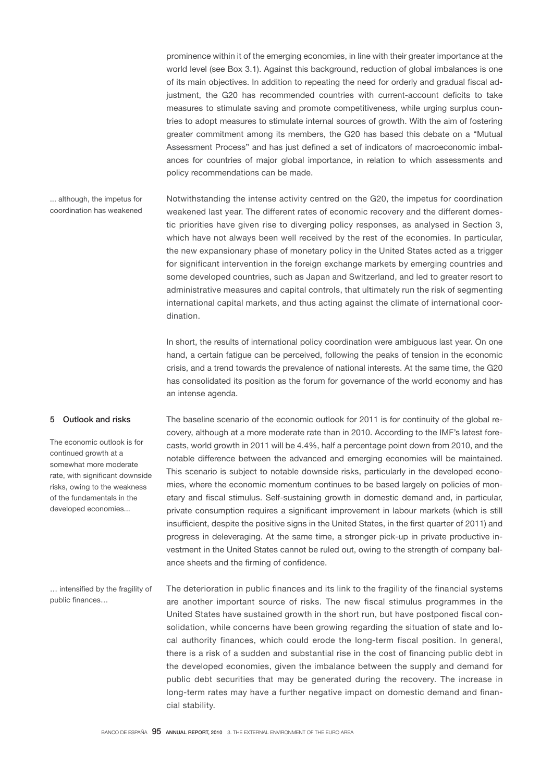prominence within it of the emerging economies, in line with their greater importance at the world level (see Box 3.1). Against this background, reduction of global imbalances is one of its main objectives. In addition to repeating the need for orderly and gradual fiscal adjustment, the G20 has recommended countries with current-account deficits to take measures to stimulate saving and promote competitiveness, while urging surplus countries to adopt measures to stimulate internal sources of growth. With the aim of fostering greater commitment among its members, the G20 has based this debate on a "Mutual Assessment Process" and has just defined a set of indicators of macroeconomic imbalances for countries of major global importance, in relation to which assessments and policy recommendations can be made.

... although, the impetus for coordination has weakened

Notwithstanding the intense activity centred on the G20, the impetus for coordination weakened last year. The different rates of economic recovery and the different domestic priorities have given rise to diverging policy responses, as analysed in Section 3, which have not always been well received by the rest of the economies. In particular, the new expansionary phase of monetary policy in the United States acted as a trigger for significant intervention in the foreign exchange markets by emerging countries and some developed countries, such as Japan and Switzerland, and led to greater resort to administrative measures and capital controls, that ultimately run the risk of segmenting international capital markets, and thus acting against the climate of international coordination.

In short, the results of international policy coordination were ambiguous last year. On one hand, a certain fatigue can be perceived, following the peaks of tension in the economic crisis, and a trend towards the prevalence of national interests. At the same time, the G20 has consolidated its position as the forum for governance of the world economy and has an intense agenda.

## 5 Outlook and risks

The economic outlook is for continued growth at a somewhat more moderate rate, with significant downside risks, owing to the weakness of the fundamentals in the developed economies...

The baseline scenario of the economic outlook for 2011 is for continuity of the global recovery, although at a more moderate rate than in 2010. According to the IMF's latest forecasts, world growth in 2011 will be 4.4%, half a percentage point down from 2010, and the notable difference between the advanced and emerging economies will be maintained. This scenario is subject to notable downside risks, particularly in the developed economies, where the economic momentum continues to be based largely on policies of monetary and fiscal stimulus. Self-sustaining growth in domestic demand and, in particular, private consumption requires a significant improvement in labour markets (which is still insufficient, despite the positive signs in the United States, in the first quarter of 2011) and progress in deleveraging. At the same time, a stronger pick-up in private productive investment in the United States cannot be ruled out, owing to the strength of company balance sheets and the firming of confidence.

The deterioration in public finances and its link to the fragility of the financial systems are another important source of risks. The new fiscal stimulus programmes in the United States have sustained growth in the short run, but have postponed fiscal consolidation, while concerns have been growing regarding the situation of state and local authority finances, which could erode the long-term fiscal position. In general, there is a risk of a sudden and substantial rise in the cost of financing public debt in the developed economies, given the imbalance between the supply and demand for public debt securities that may be generated during the recovery. The increase in long-term rates may have a further negative impact on domestic demand and financial stability. … intensified by the fragility of public finances…